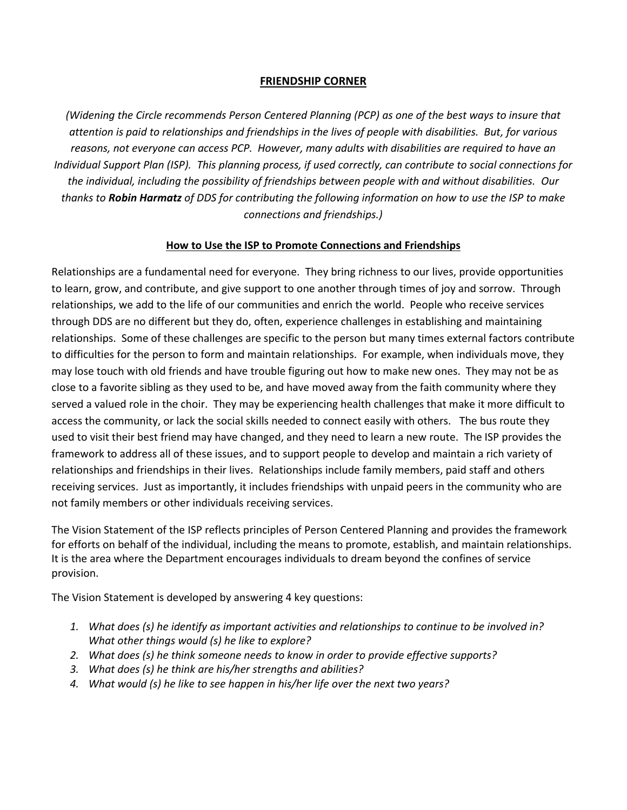## **FRIENDSHIP CORNER**

*(Widening the Circle recommends Person Centered Planning (PCP) as one of the best ways to insure that attention is paid to relationships and friendships in the lives of people with disabilities. But, for various reasons, not everyone can access PCP. However, many adults with disabilities are required to have an Individual Support Plan (ISP). This planning process, if used correctly, can contribute to social connections for the individual, including the possibility of friendships between people with and without disabilities. Our thanks to Robin Harmatz of DDS for contributing the following information on how to use the ISP to make connections and friendships.)*

## **How to Use the ISP to Promote Connections and Friendships**

Relationships are a fundamental need for everyone. They bring richness to our lives, provide opportunities to learn, grow, and contribute, and give support to one another through times of joy and sorrow. Through relationships, we add to the life of our communities and enrich the world. People who receive services through DDS are no different but they do, often, experience challenges in establishing and maintaining relationships. Some of these challenges are specific to the person but many times external factors contribute to difficulties for the person to form and maintain relationships. For example, when individuals move, they may lose touch with old friends and have trouble figuring out how to make new ones. They may not be as close to a favorite sibling as they used to be, and have moved away from the faith community where they served a valued role in the choir. They may be experiencing health challenges that make it more difficult to access the community, or lack the social skills needed to connect easily with others. The bus route they used to visit their best friend may have changed, and they need to learn a new route. The ISP provides the framework to address all of these issues, and to support people to develop and maintain a rich variety of relationships and friendships in their lives. Relationships include family members, paid staff and others receiving services. Just as importantly, it includes friendships with unpaid peers in the community who are not family members or other individuals receiving services.

The Vision Statement of the ISP reflects principles of Person Centered Planning and provides the framework for efforts on behalf of the individual, including the means to promote, establish, and maintain relationships. It is the area where the Department encourages individuals to dream beyond the confines of service provision.

The Vision Statement is developed by answering 4 key questions:

- *1. What does (s) he identify as important activities and relationships to continue to be involved in? What other things would (s) he like to explore?*
- *2. What does (s) he think someone needs to know in order to provide effective supports?*
- *3. What does (s) he think are his/her strengths and abilities?*
- *4. What would (s) he like to see happen in his/her life over the next two years?*